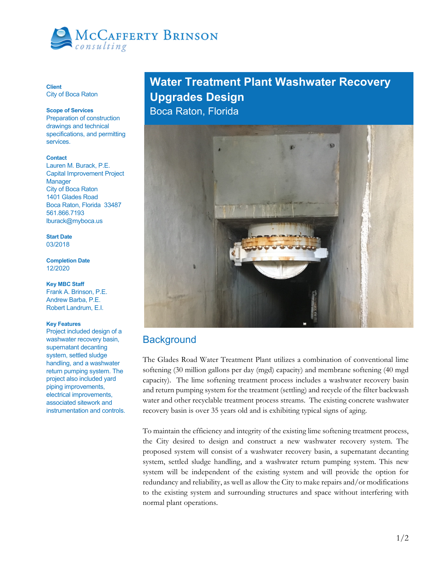

**Client**  City of Boca Raton

### **Scope of Services**

Preparation of construction drawings and technical specifications, and permitting services.

#### **Contact**

Lauren M. Burack, P.E. Capital Improvement Project **Manager** City of Boca Raton 1401 Glades Road Boca Raton, Florida 33487 561.866.7193 lburack@myboca.us

**Start Date**  03/2018

**Completion Date**  12/2020

**Key MBC Staff**  Frank A. Brinson, P.E. Andrew Barba, P.E. Robert Landrum, E.I.

### **Key Features**

Project included design of a washwater recovery basin, supernatant decanting system, settled sludge handling, and a washwater return pumping system. The project also included yard piping improvements, electrical improvements, associated sitework and instrumentation and controls.

# **Water Treatment Plant Washwater Recovery Upgrades Design**

Boca Raton, Florida



## **Background**

The Glades Road Water Treatment Plant utilizes a combination of conventional lime softening (30 million gallons per day (mgd) capacity) and membrane softening (40 mgd capacity). The lime softening treatment process includes a washwater recovery basin and return pumping system for the treatment (settling) and recycle of the filter backwash water and other recyclable treatment process streams. The existing concrete washwater recovery basin is over 35 years old and is exhibiting typical signs of aging.

To maintain the efficiency and integrity of the existing lime softening treatment process, the City desired to design and construct a new washwater recovery system. The proposed system will consist of a washwater recovery basin, a supernatant decanting system, settled sludge handling, and a washwater return pumping system. This new system will be independent of the existing system and will provide the option for redundancy and reliability, as well as allow the City to make repairs and/or modifications to the existing system and surrounding structures and space without interfering with normal plant operations.